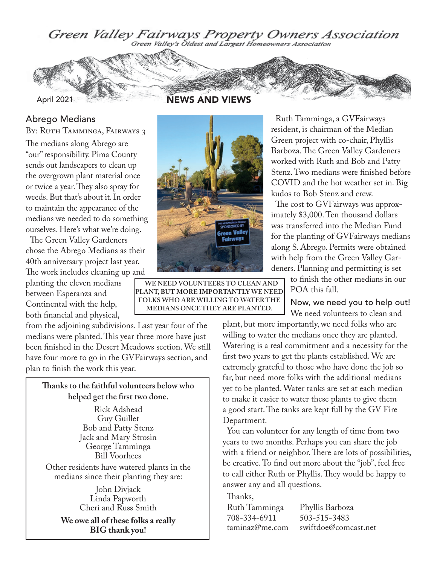Green Valley Fairways Property Owners Association



NEWS AND VIEWS

#### Abrego Medians

BY: RUTH TAMMINGA, FAIRWAYS 3

The medians along Abrego are "our" responsibility. Pima County sends out landscapers to clean up the overgrown plant material once or twice a year. They also spray for weeds. But that's about it. In order to maintain the appearance of the medians we needed to do something ourselves. Here's what we're doing.

The Green Valley Gardeners chose the Abrego Medians as their 40th anniversary project last year. The work includes cleaning up and

planting the eleven medians between Esperanza and Continental with the help, both financial and physical,

from the adjoining subdivisions. Last year four of the medians were planted. This year three more have just been finished in the Desert Meadows section. We still have four more to go in the GVFairways section, and plan to finish the work this year.

#### **Thanks to the faithful volunteers below who helped get the first two done.**

Rick Adshead Guy Guillet Bob and Patty Stenz Jack and Mary Strosin George Tamminga Bill Voorhees

Other residents have watered plants in the medians since their planting they are:

> John Divjack Linda Papworth Cheri and Russ Smith

**We owe all of these folks a really BIG thank you!**



**WE NEED VOLUNTEERS TO CLEAN AND PLANT, BUT MORE IMPORTANTLY WE NEED FOLKS WHO ARE WILLING TO WATER THE MEDIANS ONCE THEY ARE PLANTED.**

Ruth Tamminga, a GVFairways resident, is chairman of the Median Green project with co-chair, Phyllis Barboza. The Green Valley Gardeners worked with Ruth and Bob and Patty Stenz. Two medians were finished before COVID and the hot weather set in. Big kudos to Bob Stenz and crew.

The cost to GVFairways was approximately \$3,000. Ten thousand dollars was transferred into the Median Fund for the planting of GVFairways medians along S. Abrego. Permits were obtained with help from the Green Valley Gardeners. Planning and permitting is set

> to finish the other medians in our POA this fall.

Now, we need you to help out! We need volunteers to clean and

plant, but more importantly, we need folks who are willing to water the medians once they are planted. Watering is a real commitment and a necessity for the first two years to get the plants established. We are extremely grateful to those who have done the job so far, but need more folks with the additional medians yet to be planted. Water tanks are set at each median to make it easier to water these plants to give them a good start. The tanks are kept full by the GV Fire Department.

You can volunteer for any length of time from two years to two months. Perhaps you can share the job with a friend or neighbor. There are lots of possibilities, be creative. To find out more about the "job", feel free to call either Ruth or Phyllis. They would be happy to answer any and all questions.

Thanks,

 $708-334-6911$ <br>taminaz@me.com

Ruth Tamminga Phyllis Barboza swiftdoe@comcast.net